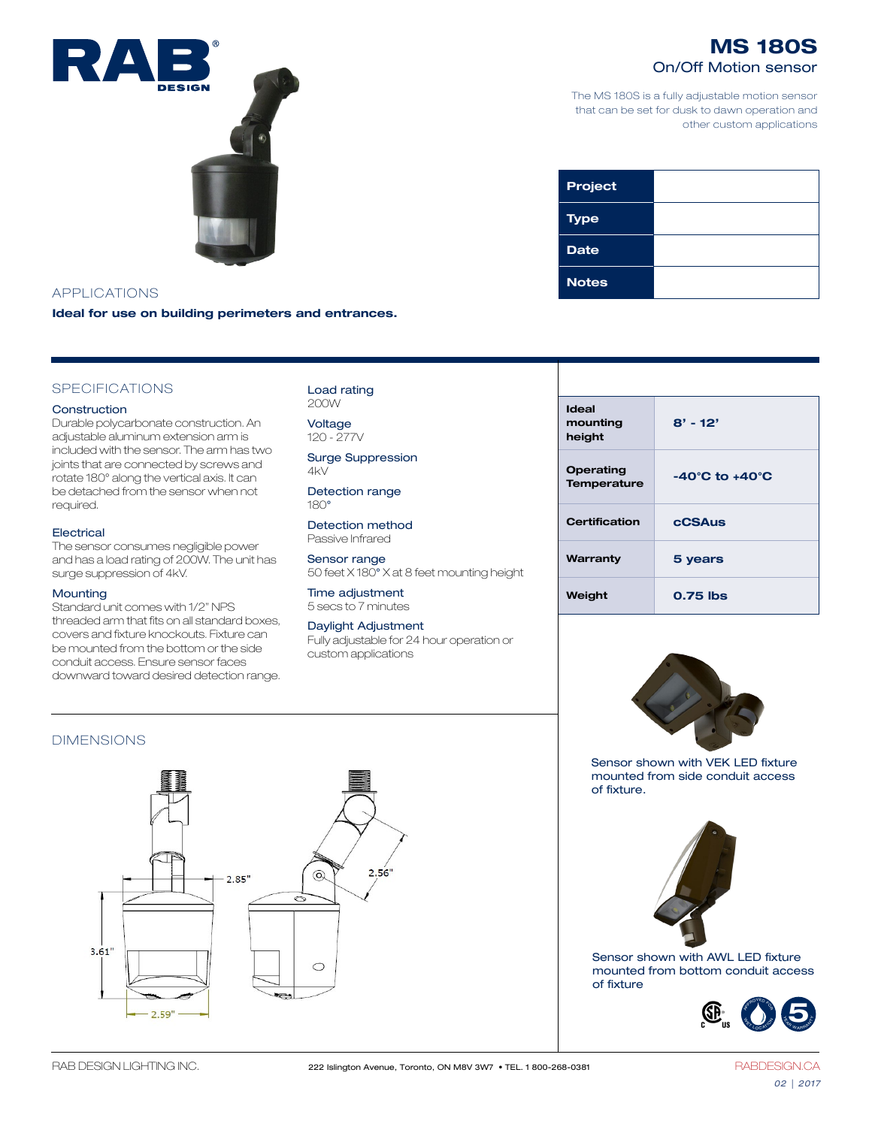

## APPLICATIONS

Ideal for use on building perimeters and entrances.

## SPECIFICATIONS

### **Construction**

Durable polycarbonate construction. An adjustable aluminum extension arm is included with the sensor. The arm has two joints that are connected by screws and rotate 180° along the vertical axis. It can be detached from the sensor when not required.

## **Electrical**

The sensor consumes negligible power and has a load rating of 200W. The unit has surge suppression of 4kV.

## **Mounting**

Standard unit comes with 1/2" NPS threaded arm that fits on all standard boxes, covers and fixture knockouts. Fixture can be mounted from the bottom or the side conduit access. Ensure sensor faces downward toward desired detection range.

### Load rating 200W

Voltage 120 - 277V

Surge Suppression  $4kV$ 

Detection range 180°

Detection method Passive Infrared

Sensor range 50 feet X 180° X at 8 feet mounting height

Time adjustment 5 secs to 7 minutes

## Daylight Adjustment

Fully adjustable for 24 hour operation or custom applications

## MS 180S On/Off Motion sensor

The MS 180S is a fully adjustable motion sensor that can be set for dusk to dawn operation and other custom applications

| <b>Project</b> |  |
|----------------|--|
| <b>Type</b>    |  |
| <b>Date</b>    |  |
| <b>Notes</b>   |  |

| Ideal<br>mounting<br>height     | $8' - 12'$                         |
|---------------------------------|------------------------------------|
| Operating<br><b>Temperature</b> | $-40^{\circ}$ C to $+40^{\circ}$ C |
| Certification                   | <b>cCSAus</b>                      |
| Warranty                        | 5 years                            |
| Weight                          | $0.75$ lbs                         |



Sensor shown with VEK LED fixture mounted from side conduit access of fixture.



Sensor shown with AWL LED fixture mounted from bottom conduit access of fixture





*02 | 2017*